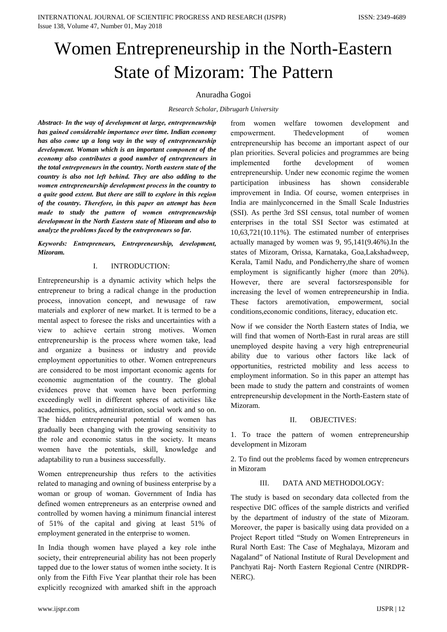# Women Entrepreneurship in the North-Eastern **State of Mizoram: The Pattern**

## Anuradha Gogoi

Research Scholar, Dibrugarh University

Abstract- In the way of development at large, entrepreneurship has gained considerable importance over time. Indian economy has also come up a long way in the way of entrepreneurship development. Woman which is an important component of the economy also contributes a good number of entrepreneurs in the total entrepreneurs in the country. North eastern state of the country is also not left behind. They are also adding to the women entrepreneurship development process in the country to a quite good extent. But there are still to explore in this region of the country. Therefore, in this paper an attempt has been made to study the pattern of women entrepreneurship development in the North Eastern state of Mizoram and also to analyze the problems faced by the entrepreneurs so far.

Keywords: Entrepreneurs, Entrepreneurship, development, Mizoram.

#### $\mathbf{L}$ **INTRODUCTION:**

Entrepreneurship is a dynamic activity which helps the entrepreneur to bring a radical change in the production process, innovation concept, and newusage of raw materials and explorer of new market. It is termed to be a mental aspect to foresee the risks and uncertainties with a view to achieve certain strong motives. Women entrepreneurship is the process where women take, lead and organize a business or industry and provide employment opportunities to other. Women entrepreneurs are considered to be most important economic agents for economic augmentation of the country. The global evidences prove that women have been performing exceedingly well in different spheres of activities like academics, politics, administration, social work and so on. The hidden entrepreneurial potential of women has gradually been changing with the growing sensitivity to the role and economic status in the society. It means women have the potentials, skill, knowledge and adaptability to run a business successfully.

Women entrepreneurship thus refers to the activities related to managing and owning of business enterprise by a woman or group of woman. Government of India has defined women entrepreneurs as an enterprise owned and controlled by women having a minimum financial interest of 51% of the capital and giving at least 51% of employment generated in the enterprise to women.

In India though women have played a key role in the society, their entrepreneurial ability has not been properly tapped due to the lower status of women inthe society. It is only from the Fifth Five Year planthat their role has been explicitly recognized with amarked shift in the approach

welfare towomen from women development and Thedevelopment  $\sigma$ empowerment. women entrepreneurship has become an important aspect of our plan priorities. Several policies and programmes are being implemented forthe development  $\sigma$ f women entrepreneurship. Under new economic regime the women participation inbusiness has shown considerable improvement in India. Of course, women enterprises in India are mainlyconcerned in the Small Scale Industries (SSI). As perthe 3rd SSI census, total number of women enterprises in the total SSI Sector was estimated at  $10,63,721(10.11\%)$ . The estimated number of enterprises actually managed by women was 9, 95,141(9.46%). In the states of Mizoram, Orissa, Karnataka, Goa, Lakshadweep, Kerala, Tamil Nadu, and Pondicherry, the share of women employment is significantly higher (more than 20%). However, there are several factors responsible for increasing the level of women entrepreneurship in India. These factors aremotivation, empowerment, social conditions, economic conditions, literacy, education etc.

Now if we consider the North Eastern states of India, we will find that women of North-East in rural areas are still unemployed despite having a very high entrepreneurial ability due to various other factors like lack of opportunities, restricted mobility and less access to employment information. So in this paper an attempt has been made to study the pattern and constraints of women entrepreneurship development in the North-Eastern state of Mizoram

#### $\Pi$ **OBJECTIVES:**

1. To trace the pattern of women entrepreneurship development in Mizoram

2. To find out the problems faced by women entrepreneurs in Mizoram

#### $III$ DATA AND METHODOLOGY:

The study is based on secondary data collected from the respective DIC offices of the sample districts and verified by the department of industry of the state of Mizoram. Moreover, the paper is basically using data provided on a Project Report titled "Study on Women Entrepreneurs in Rural North East: The Case of Meghalaya, Mizoram and Nagaland" of National Institute of Rural Development and Panchyati Raj- North Eastern Regional Centre (NIRDPR-NERC).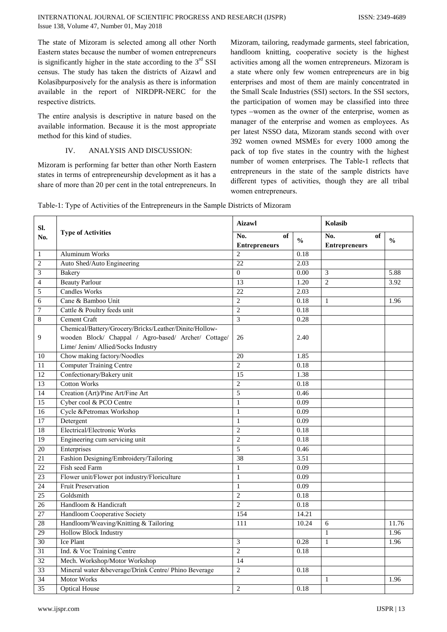The state of Mizoram is selected among all other North Eastern states because the number of women entrepreneurs is significantly higher in the state according to the  $3<sup>rd</sup>$  SSI census. The study has taken the districts of Aizawl and Kolasibpurposively for the analysis as there is information available in the report of NIRDPR-NERC for the respective districts.

The entire analysis is descriptive in nature based on the available information. Because it is the most appropriate method for this kind of studies.

#### $\mathbf{I} \mathbf{V}$ ANALYSIS AND DISCUSSION:

Mizoram is performing far better than other North Eastern states in terms of entrepreneurship development as it has a share of more than 20 per cent in the total entrepreneurs. In

Mizoram, tailoring, readymade garments, steel fabrication, handloom knitting, cooperative society is the highest activities among all the women entrepreneurs. Mizoram is a state where only few women entrepreneurs are in big enterprises and most of them are mainly concentrated in the Small Scale Industries (SSI) sectors. In the SSI sectors, the participation of women may be classified into three types –women as the owner of the enterprise, women as manager of the enterprise and women as employees. As per latest NSSO data, Mizoram stands second with over 392 women owned MSMEs for every 1000 among the pack of top five states in the country with the highest number of women enterprises. The Table-1 reflects that entrepreneurs in the state of the sample districts have different types of activities, though they are all tribal women entrepreneurs.

| SI.             |                                                        | <b>Aizawl</b>                     |               | Kolasib                           |               |  |
|-----------------|--------------------------------------------------------|-----------------------------------|---------------|-----------------------------------|---------------|--|
| No.             | <b>Type of Activities</b>                              | No.<br>of<br><b>Entrepreneurs</b> | $\frac{0}{0}$ | No.<br>of<br><b>Entrepreneurs</b> | $\frac{0}{0}$ |  |
| $\mathbf{1}$    | <b>Aluminum Works</b>                                  | $\overline{2}$                    | 0.18          |                                   |               |  |
| $\overline{2}$  | Auto Shed/Auto Engineering                             | 22                                | 2.03          |                                   |               |  |
| $\mathfrak{Z}$  | Bakery                                                 | $\boldsymbol{0}$                  | 0.00          | 3                                 | 5.88          |  |
| 4               | <b>Beauty Parlour</b>                                  | $\overline{13}$                   | 1.20          | $\overline{2}$                    | 3.92          |  |
| 5               | <b>Candles Works</b>                                   | 22                                | 2.03          |                                   |               |  |
| 6               | Cane & Bamboo Unit                                     | $\overline{c}$                    | 0.18          | $\mathbf{1}$                      | 1.96          |  |
| 7               | Cattle & Poultry feeds unit                            | $\overline{2}$                    | 0.18          |                                   |               |  |
| $\,$ 8 $\,$     | Cement Craft                                           | 3                                 | 0.28          |                                   |               |  |
|                 | Chemical/Battery/Grocery/Bricks/Leather/Dinite/Hollow- |                                   |               |                                   |               |  |
| 9               | wooden Block/ Chappal / Agro-based/ Archer/ Cottage/   | 26                                | 2.40          |                                   |               |  |
|                 | Lime/ Jenim/ Allied/Socks Industry                     |                                   |               |                                   |               |  |
| 10              | Chow making factory/Noodles                            | 20                                | 1.85          |                                   |               |  |
| 11              | <b>Computer Training Centre</b>                        | $\overline{2}$                    | 0.18          |                                   |               |  |
| $\overline{12}$ | Confectionary/Bakery unit                              | 15                                | 1.38          |                                   |               |  |
| 13              | <b>Cotton Works</b>                                    | $\sqrt{2}$                        | 0.18          |                                   |               |  |
| $\overline{14}$ | Creation (Art)/Pine Art/Fine Art                       | 5                                 | 0.46          |                                   |               |  |
| 15              | Cyber cool & PCO Centre                                | $\mathbf{1}$                      | 0.09          |                                   |               |  |
| $\overline{16}$ | Cycle &Petromax Workshop                               | $\mathbf{1}$                      | 0.09          |                                   |               |  |
| 17              | Detergent                                              | $\mathbf{1}$                      | 0.09          |                                   |               |  |
| 18              | <b>Electrical/Electronic Works</b>                     | $\overline{c}$                    | 0.18          |                                   |               |  |
| $\overline{19}$ | Engineering cum servicing unit                         | $\overline{2}$                    | 0.18          |                                   |               |  |
| 20              | Enterprises                                            | 5                                 | 0.46          |                                   |               |  |
| 21              | Fashion Designing/Embroidery/Tailoring                 | 38                                | 3.51          |                                   |               |  |
| $\overline{22}$ | Fish seed Farm                                         | $\,1\,$                           | 0.09          |                                   |               |  |
| 23              | Flower unit/Flower pot industry/Floriculture           | $\mathbf{1}$                      | 0.09          |                                   |               |  |
| 24              | <b>Fruit Preservation</b>                              | $\mathbf{1}$                      | 0.09          |                                   |               |  |
| 25              | Goldsmith                                              | $\overline{2}$                    | 0.18          |                                   |               |  |
| $\overline{26}$ | Handloom & Handicraft                                  | $\overline{2}$                    | 0.18          |                                   |               |  |
| 27              | Handloom Cooperative Society                           | 154                               | 14.21         |                                   |               |  |
| 28              | Handloom/Weaving/Knitting & Tailoring                  | 111                               | 10.24         | 6                                 | 11.76         |  |
| 29              | <b>Hollow Block Industry</b>                           |                                   |               | $\mathbf{1}$                      | 1.96          |  |
| 30              | <b>Ice Plant</b>                                       | 3                                 | 0.28          | $\mathbf{1}$                      | 1.96          |  |
| 31              | Ind. & Voc Training Centre                             | $\overline{2}$                    | 0.18          |                                   |               |  |
| 32              | Mech. Workshop/Motor Workshop                          | 14                                |               |                                   |               |  |
| 33              | Mineral water &beverage/Drink Centre/ Phino Beverage   | $\overline{2}$                    | 0.18          |                                   |               |  |
| $\overline{34}$ | Motor Works                                            |                                   |               | $\mathbf{1}$                      | 1.96          |  |
| 35              | <b>Optical House</b>                                   | $\overline{2}$                    | 0.18          |                                   |               |  |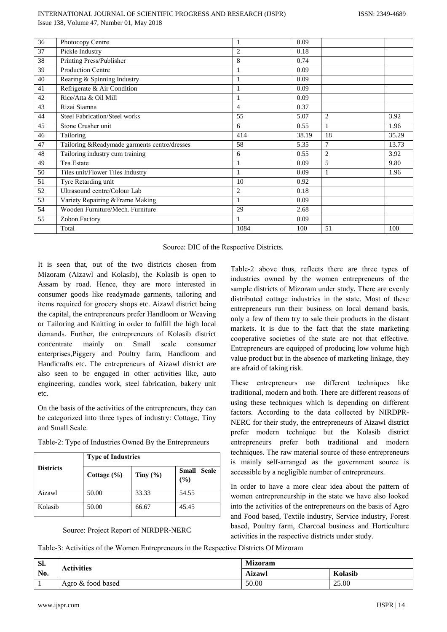| 36 | Photocopy Centre                             | 1              | 0.09  |    |       |
|----|----------------------------------------------|----------------|-------|----|-------|
| 37 | Pickle Industry                              | $\overline{2}$ | 0.18  |    |       |
| 38 | Printing Press/Publisher                     | 8              | 0.74  |    |       |
| 39 | <b>Production Centre</b>                     | 1              | 0.09  |    |       |
| 40 | Rearing & Spinning Industry                  | 1              | 0.09  |    |       |
| 41 | Refrigerate & Air Condition                  | 1              | 0.09  |    |       |
| 42 | Rice/Atta & Oil Mill                         | 1              | 0.09  |    |       |
| 43 | Rizai Siamna                                 | $\overline{4}$ | 0.37  |    |       |
| 44 | <b>Steel Fabrication/Steel works</b>         | 55             | 5.07  | 2  | 3.92  |
| 45 | Stone Crusher unit                           | 6              | 0.55  | 1  | 1.96  |
| 46 | Tailoring                                    | 414            | 38.19 | 18 | 35.29 |
| 47 | Tailoring &Readymade garments centre/dresses | 58             | 5.35  | 7  | 13.73 |
| 48 | Tailoring industry cum training              | 6              | 0.55  | 2  | 3.92  |
| 49 | Tea Estate                                   | 1              | 0.09  | 5  | 9.80  |
| 50 | Tiles unit/Flower Tiles Industry             | 1              | 0.09  | 1  | 1.96  |
| 51 | Tyre Retarding unit                          | 10             | 0.92  |    |       |
| 52 | Ultrasound centre/Colour Lab                 | $\overline{2}$ | 0.18  |    |       |
| 53 | Variety Repairing & Frame Making             | 1              | 0.09  |    |       |
| 54 | Wooden Furniture/Mech. Furniture             | 29             | 2.68  |    |       |
| 55 | Zobon Factory                                | 1              | 0.09  |    |       |
|    | Total                                        | 1084           | 100   | 51 | 100   |

Source: DIC of the Respective Districts.

It is seen that, out of the two districts chosen from Mizoram (Aizawl and Kolasib), the Kolasib is open to Assam by road. Hence, they are more interested in consumer goods like readymade garments, tailoring and items required for grocery shops etc. Aizawl district being the capital, the entrepreneurs prefer Handloom or Weaving or Tailoring and Knitting in order to fulfill the high local demands. Further, the entrepreneurs of Kolasib district concentrate mainly on Small scale consumer enterprises, Piggery and Poultry farm, Handloom and Handicrafts etc. The entrepreneurs of Aizawl district are also seen to be engaged in other activities like, auto engineering, candles work, steel fabrication, bakery unit etc.

On the basis of the activities of the entrepreneurs, they can be categorized into three types of industry: Cottage, Tiny and Small Scale.

|                  | <b>Type of Industries</b> |              |                           |  |  |  |  |  |  |
|------------------|---------------------------|--------------|---------------------------|--|--|--|--|--|--|
| <b>Districts</b> | Cottage $(\% )$           | Tiny $(\% )$ | <b>Small Scale</b><br>(%) |  |  |  |  |  |  |
| Aizawl           | 50.00                     | 33.33        | 54.55                     |  |  |  |  |  |  |
| Kolasib          | 50.00                     | 66.67        | 45.45                     |  |  |  |  |  |  |

Table-2: Type of Industries Owned By the Entrepreneurs

Source: Project Report of NIRDPR-NERC

Table-2 above thus, reflects there are three types of industries owned by the women entrepreneurs of the sample districts of Mizoram under study. There are evenly distributed cottage industries in the state. Most of these entrepreneurs run their business on local demand basis, only a few of them try to sale their products in the distant markets. It is due to the fact that the state marketing cooperative societies of the state are not that effective. Entrepreneurs are equipped of producing low volume high value product but in the absence of marketing linkage, they are afraid of taking risk.

These entrepreneurs use different techniques like traditional, modern and both. There are different reasons of using these techniques which is depending on different factors. According to the data collected by NIRDPR-NERC for their study, the entrepreneurs of Aizawl district prefer modern technique but the Kolasib district entrepreneurs prefer both traditional and modern techniques. The raw material source of these entrepreneurs is mainly self-arranged as the government source is accessible by a negligible number of entrepreneurs.

In order to have a more clear idea about the pattern of women entrepreneurship in the state we have also looked into the activities of the entrepreneurs on the basis of Agro and Food based, Textile industry, Service industry, Forest based, Poultry farm, Charcoal business and Horticulture activities in the respective districts under study.

Table-3: Activities of the Women Entrepreneurs in the Respective Districts Of Mizoram

| Sl. | <b>Activities</b> | <b>Mizoram</b> |         |  |  |
|-----|-------------------|----------------|---------|--|--|
| No. |                   | <b>Aizawl</b>  | Kolasib |  |  |
|     | Agro & food based | 50.00          | 25.00   |  |  |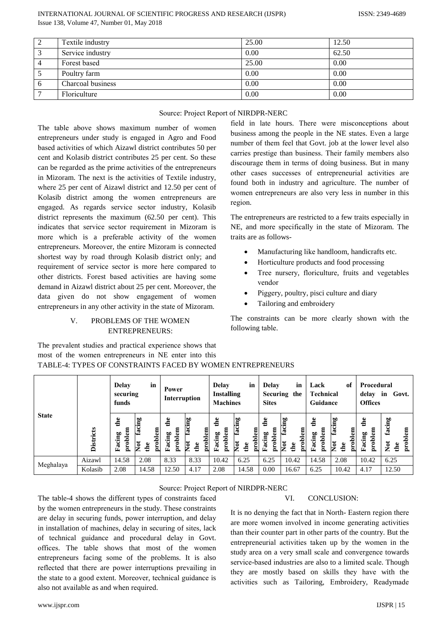|   | Textile industry  | 25.00 | 12.50 |
|---|-------------------|-------|-------|
|   | Service industry  | 0.00  | 62.50 |
|   | Forest based      | 25.00 | 0.00  |
|   | Poultry farm      | 0.00  | 0.00  |
| O | Charcoal business | 0.00  | 0.00  |
|   | Floriculture      | 0.00  | 0.00  |

|  | Source: Project Report of NIRDPR-NERC |  |
|--|---------------------------------------|--|
|  |                                       |  |

The table above shows maximum number of women entrepreneurs under study is engaged in Agro and Food based activities of which Aizawl district contributes 50 per cent and Kolasib district contributes 25 per cent. So these can be regarded as the prime activities of the entrepreneurs in Mizoram. The next is the activities of Textile industry, where 25 per cent of Aizawl district and 12.50 per cent of Kolasib district among the women entrepreneurs are engaged. As regards service sector industry, Kolasib district represents the maximum  $(62.50$  per cent). This indicates that service sector requirement in Mizoram is more which is a preferable activity of the women entrepreneurs. Moreover, the entire Mizoram is connected shortest way by road through Kolasib district only; and requirement of service sector is more here compared to other districts. Forest based activities are having some demand in Aizawl district about 25 per cent. Moreover, the data given do not show engagement of women entrepreneurs in any other activity in the state of Mizoram.

### PROBLEMS OF THE WOMEN  $\mathbf{V}$ **ENTREPRENEURS:**

The prevalent studies and practical experience shows that

field in late hours. There were misconceptions about business among the people in the NE states. Even a large number of them feel that Govt. job at the lower level also carries prestige than business. Their family members also discourage them in terms of doing business. But in many other cases successes of entrepreneurial activities are found both in industry and agriculture. The number of women entrepreneurs are also very less in number in this region.

The entrepreneurs are restricted to a few traits especially in NE, and more specifically in the state of Mizoram. The traits are as follows-

- Manufacturing like handloom, handicrafts etc.
- Horticulture products and food processing
- Tree nursery, floriculture, fruits and vegetables  $\bullet$ vendor
- Piggery, poultry, pisci culture and diary  $\bullet$
- Tailoring and embroidery

The constraints can be more clearly shown with the following table.

|              |                  | Delay<br>securing<br>funds | in                            | Power<br>Interruption   |                                | Delay<br><b>Installing</b><br><b>Machines</b> | in                              | Delay<br><b>Sites</b>      | in<br>Securing the              | Lack<br><b>Technical</b><br>Guidance | of                                     | Procedural<br>delay<br><b>Offices</b> | in<br>Govt.                                         |
|--------------|------------------|----------------------------|-------------------------------|-------------------------|--------------------------------|-----------------------------------------------|---------------------------------|----------------------------|---------------------------------|--------------------------------------|----------------------------------------|---------------------------------------|-----------------------------------------------------|
| <b>State</b> | <b>Districts</b> | de<br>problem<br>Facing    | facing<br>problem<br>Χot<br>₫ | de<br>problem<br>Facing | facing<br>problem<br>kot<br>de | the<br>problem<br>Facing                      | facing<br>problem<br>Not<br>the | de<br>oblem<br>Facing<br>Ě | facing<br>problem<br>Not<br>the | ed.<br>problem<br>Facing             | facing<br>problem<br><b>Not</b><br>the | $\ddot{a}$<br>problem<br>Facing       | facing<br>problem<br>$\overline{\text{Not}}$<br>the |
| Meghalaya    | Aizawl           | 14.58                      | 2.08                          | 8.33                    | 8.33                           | 10.42                                         | 6.25                            | 6.25                       | 10.42                           | 14.58                                | 2.08                                   | 10.42                                 | 6.25                                                |
|              | Kolasib          | 2.08                       | 14.58                         | 12.50                   | 4.17                           | 2.08                                          | 14.58                           | 0.00                       | 16.67                           | 6.25                                 | 10.42                                  | 4.17                                  | 12.50                                               |

most of the women entrepreneurs in NE enter into this TABLE-4: TYPES OF CONSTRAINTS FACED BY WOMEN ENTREPRENEURS

## Source: Project Report of NIRDPR-NERC

The table-4 shows the different types of constraints faced by the women entrepreneurs in the study. These constraints are delay in securing funds, power interruption, and delay in installation of machines, delay in securing of sites, lack of technical guidance and procedural delay in Govt. offices. The table shows that most of the women entrepreneurs facing some of the problems. It is also reflected that there are power interruptions prevailing in the state to a good extent. Moreover, technical guidance is also not available as and when required.

#### VI. **CONCLUSION:**

It is no denying the fact that in North-Eastern region there are more women involved in income generating activities than their counter part in other parts of the country. But the entrepreneurial activities taken up by the women in the study area on a very small scale and convergence towards service-based industries are also to a limited scale. Though they are mostly based on skills they have with the activities such as Tailoring, Embroidery, Readymade